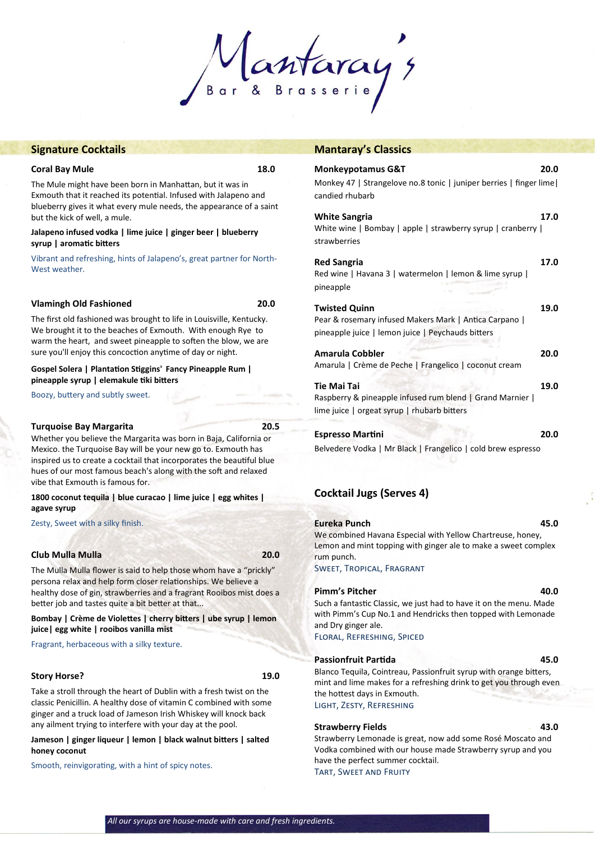Mantaray's

# **Signature Cocktails**

# **Coral Bay Mule** 18.0

The Mule might have been born in Manhattan, but it was in Exmouth that it reached its potential. Infused with Jalapeno and blueberry gives it what every mule needs, the appearance of a saint but the kick of well, a mule.

#### **Jalapeno infused vodka | lime juice | ginger beer | blueberry syrup | aromatic bitters**

Vibrant and refreshing, hints of Jalapeno's, great partner for North-West weather.

## **Vlamingh Old Fashioned 20.0**

The first old fashioned was brought to life in Louisville, Kentucky. We brought it to the beaches of Exmouth. With enough Rye to warm the heart, and sweet pineapple to soften the blow, we are sure you'll enjoy this concoction anytime of day or night.

### **Gospel Solera | Plantation Stiggins' Fancy Pineapple Rum | pineapple syrup | elemakule tiki bitters**

Boozy, buttery and subtly sweet.

# **Turquoise Bay Margarita 20.5**

Whether you believe the Margarita was born in Baja, California or Mexico. the Turquoise Bay will be your new go to. Exmouth has inspired us to create a cocktail that incorporates the beautiful blue hues of our most famous beach's along with the soft and relaxed vibe that Exmouth is famous for.

**1800 coconut tequila | blue curacao | lime juice | egg whites | agave syrup**

Zesty, Sweet with a silky finish.

# **Club Mulla Mulla 20.0**

The Mulla Mulla flower is said to help those whom have a "prickly" persona relax and help form closer relationships. We believe a healthy dose of gin, strawberries and a fragrant Rooibos mist does a better job and tastes quite a bit better at that...

**Bombay | Crème de Violettes | cherry bitters | ube syrup | lemon juice| egg white | rooibos vanilla mist**

Fragrant, herbaceous with a silky texture.

### **Story Horse? 19.0**

Take a stroll through the heart of Dublin with a fresh twist on the classic Penicillin. A healthy dose of vitamin C combined with some ginger and a truck load of Jameson Irish Whiskey will knock back any ailment trying to interfere with your day at the pool.

**Jameson | ginger liqueur | lemon | black walnut bitters | salted honey coconut** 

Smooth, reinvigorating, with a hint of spicy notes.

# **Mantaray's Classics**

| <b>Monkeypotamus G&amp;T</b><br>Monkey 47   Strangelove no.8 tonic   juniper berries   finger lime  <br>candied rhubarb             | 20.0 |
|-------------------------------------------------------------------------------------------------------------------------------------|------|
| <b>White Sangria</b><br>White wine   Bombay   apple   strawberry syrup   cranberry  <br>strawberries                                | 17.0 |
| <b>Red Sangria</b><br>Red wine   Havana 3   watermelon   lemon & lime syrup  <br>pineapple                                          | 17.0 |
| <b>Twisted Quinn</b><br>Pear & rosemary infused Makers Mark   Antica Carpano  <br>pineapple juice   lemon juice   Peychauds bitters | 19.0 |
| Amarula Cobbler<br>Amarula   Crème de Peche   Frangelico   coconut cream                                                            | 20.0 |
| Tie Mai Tai<br>Raspberry & pineapple infused rum blend   Grand Marnier  <br>lime juice   orgeat syrup   rhubarb bitters             | 19.0 |
| <b>Espresso Martini</b><br>Belvedere Vodka   Mr Black   Frangelico   cold brew espresso                                             | 20.0 |

# **Cocktail Jugs (Serves 4)**

| Eureka Punch                                                   | 45.0 |
|----------------------------------------------------------------|------|
| We combined Havana Especial with Yellow Chartreuse, honey,     |      |
| Lemon and mint topping with ginger ale to make a sweet complex |      |
| rum punch.                                                     |      |
| <b>SWEET, TROPICAL, FRAGRANT</b>                               |      |

### **Pimm's Pitcher 40.0**

Such a fantastic Classic, we just had to have it on the menu. Made with Pimm's Cup No.1 and Hendricks then topped with Lemonade and Dry ginger ale.

Floral, Refreshing, Spiced

# **Passionfruit Partida 45.0**

Blanco Tequila, Cointreau, Passionfruit syrup with orange bitters, mint and lime makes for a refreshing drink to get you through even the hottest days in Exmouth. Light, Zesty, Refreshing

# **Strawberry Fields 43.0**

Strawberry Lemonade is great, now add some Rosé Moscato and Vodka combined with our house made Strawberry syrup and you have the perfect summer cocktail. Tart, Sweet and Fruity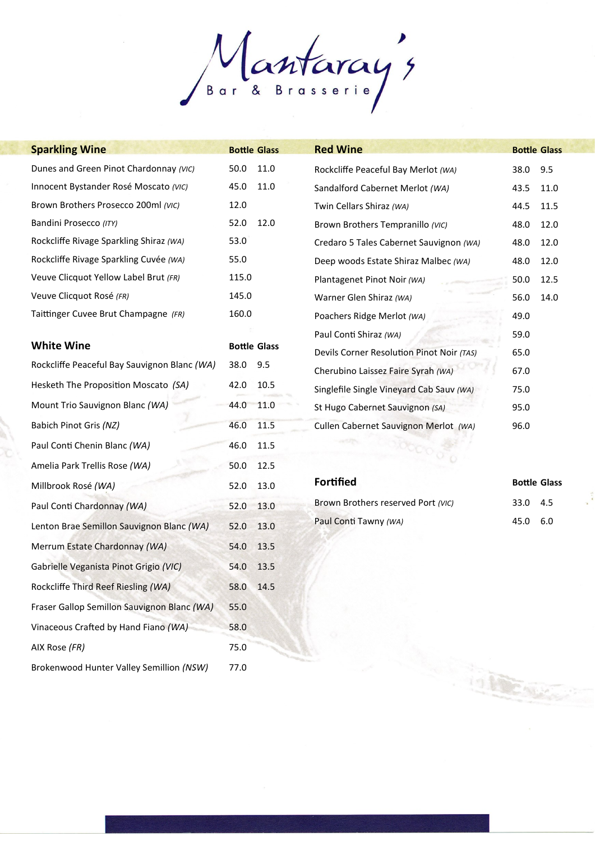Mantaray's

| <b>Sparkling Wine</b>                        |       | <b>Bottle Glass</b> | <b>Red Wine</b>                           |      | <b>Bottle Glass</b> |
|----------------------------------------------|-------|---------------------|-------------------------------------------|------|---------------------|
| Dunes and Green Pinot Chardonnay (VIC)       | 50.0  | 11.0                | Rockcliffe Peaceful Bay Merlot (WA)       | 38.0 | 9.5                 |
| Innocent Bystander Rosé Moscato (VIC)        | 45.0  | 11.0                | Sandalford Cabernet Merlot (WA)           | 43.5 | 11.0                |
| Brown Brothers Prosecco 200ml (VIC)          | 12.0  |                     | Twin Cellars Shiraz (WA)                  | 44.5 | 11.5                |
| Bandini Prosecco (ITY)                       | 52.0  | 12.0                | Brown Brothers Tempranillo (VIC)          | 48.0 | 12.0                |
| Rockcliffe Rivage Sparkling Shiraz (WA)      | 53.0  |                     | Credaro 5 Tales Cabernet Sauvignon (WA)   | 48.0 | 12.0                |
| Rockcliffe Rivage Sparkling Cuvée (WA)       | 55.0  |                     | Deep woods Estate Shiraz Malbec (WA)      | 48.0 | 12.0                |
| Veuve Clicquot Yellow Label Brut (FR)        | 115.0 |                     | Plantagenet Pinot Noir (WA)               | 50.0 | 12.5                |
| Veuve Clicquot Rosé (FR)                     | 145.0 |                     | Warner Glen Shiraz (WA)                   | 56.0 | 14.0                |
| Taittinger Cuvee Brut Champagne (FR)         | 160.0 |                     | Poachers Ridge Merlot (WA)                | 49.0 |                     |
|                                              |       |                     | Paul Conti Shiraz (WA)                    | 59.0 |                     |
| <b>White Wine</b>                            |       | <b>Bottle Glass</b> | Devils Corner Resolution Pinot Noir (TAS) | 65.0 |                     |
| Rockcliffe Peaceful Bay Sauvignon Blanc (WA) | 38.0  | 9.5                 | Cherubino Laissez Faire Syrah (WA)        | 67.0 |                     |
| Hesketh The Proposition Moscato (SA)         | 42.0  | 10.5                | Singlefile Single Vineyard Cab Sauv (WA)  | 75.0 |                     |
| Mount Trio Sauvignon Blanc (WA)              | 44.0  | 11.0                | St Hugo Cabernet Sauvignon (SA)           | 95.0 |                     |
| Babich Pinot Gris (NZ)                       | 46.0  | 11.5                | Cullen Cabernet Sauvignon Merlot (WA)     | 96.0 |                     |
| Paul Conti Chenin Blanc (WA)                 | 46.0  | 11.5                |                                           |      |                     |
| Amelia Park Trellis Rose (WA)                | 50.0  | 12.5                |                                           |      |                     |
| Millbrook Rosé (WA)                          | 52.0  | 13.0                | <b>Fortified</b>                          |      | <b>Bottle Glass</b> |
| Paul Conti Chardonnay (WA)                   | 52.0  | 13.0                | Brown Brothers reserved Port (VIC)        | 33.0 | 4.5                 |
| Lenton Brae Semillon Sauvignon Blanc (WA)    | 52.0  | 13.0                | Paul Conti Tawny (WA)                     | 45.0 | 6.0                 |
| Merrum Estate Chardonnay (WA)                | 54.0  | 13.5                |                                           |      |                     |
| Gabrielle Veganista Pinot Grigio (VIC)       | 54.0  | 13.5                |                                           |      |                     |
| Rockcliffe Third Reef Riesling (WA)          | 58.0  | 14.5                |                                           |      |                     |
| Fraser Gallop Semillon Sauvignon Blanc (WA)  | 55.0  |                     |                                           |      |                     |
| Vinaceous Crafted by Hand Fiano (WA)         | 58.0  |                     |                                           |      |                     |
| AIX Rose (FR)                                | 75.0  |                     |                                           |      |                     |
| Brokenwood Hunter Valley Semillion (NSW)     | 77.0  |                     |                                           |      |                     |